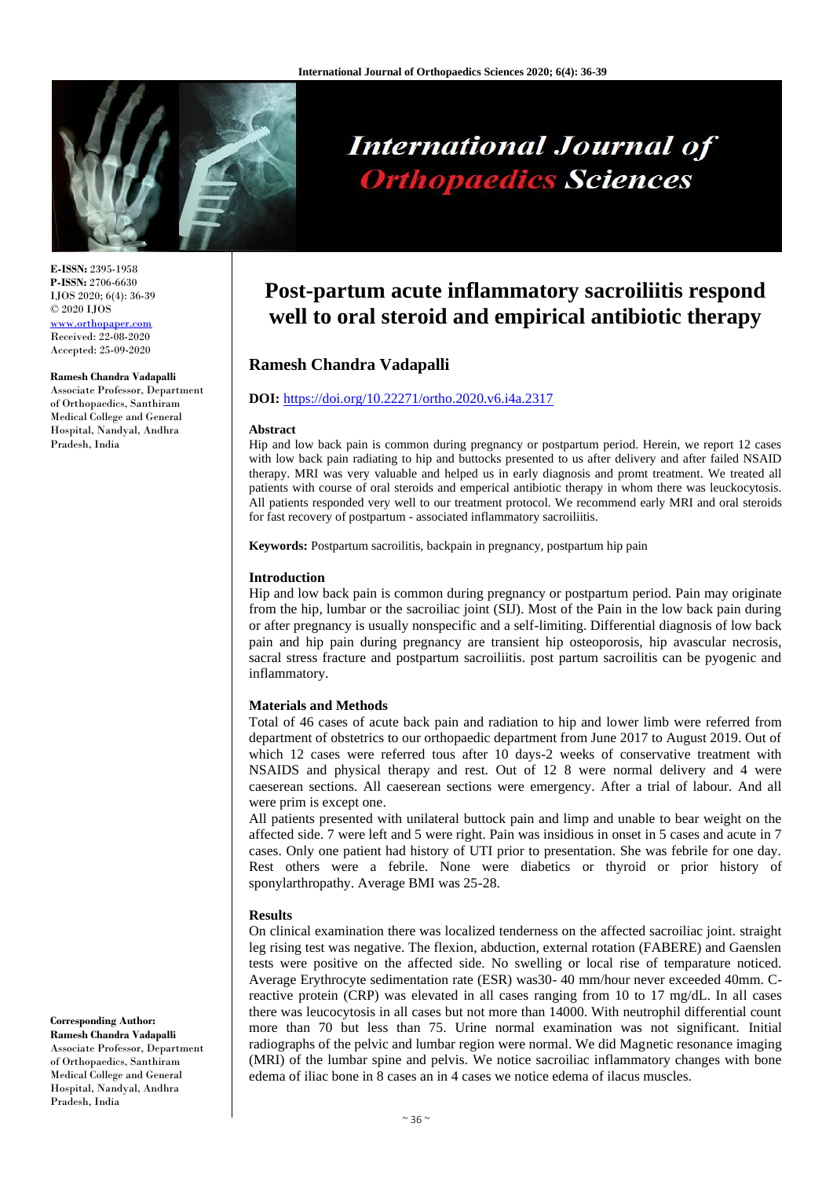

#### **E-ISSN:** 2395-1958 **P-ISSN:** 2706-6630 IJOS 2020; 6(4): 36-39 © 2020 IJOS [www.orthopaper.com](http://www.orthopaper.com/) Received: 22-08-2020 Accepted: 25-09-2020

#### **Ramesh Chandra Vadapalli**

Associate Professor, Department of Orthopaedics, Santhiram Medical College and General Hospital, Nandyal, Andhra Pradesh, India

**Corresponding Author:**

**Ramesh Chandra Vadapalli** Associate Professor, Department of Orthopaedics, Santhiram Medical College and General Hospital, Nandyal, Andhra Pradesh, India

# **International Journal of Orthopaedics Sciences**

# **Post-partum acute inflammatory sacroiliitis respond well to oral steroid and empirical antibiotic therapy**

# **Ramesh Chandra Vadapalli**

# **DOI:** <https://doi.org/10.22271/ortho.2020.v6.i4a.2317>

#### **Abstract**

Hip and low back pain is common during pregnancy or postpartum period. Herein, we report 12 cases with low back pain radiating to hip and buttocks presented to us after delivery and after failed NSAID therapy. MRI was very valuable and helped us in early diagnosis and promt treatment. We treated all patients with course of oral steroids and emperical antibiotic therapy in whom there was leuckocytosis. All patients responded very well to our treatment protocol. We recommend early MRI and oral steroids for fast recovery of postpartum - associated inflammatory sacroiliitis.

**Keywords:** Postpartum sacroilitis, backpain in pregnancy, postpartum hip pain

# **Introduction**

Hip and low back pain is common during pregnancy or postpartum period. Pain may originate from the hip, lumbar or the sacroiliac joint (SIJ). Most of the Pain in the low back pain during or after pregnancy is usually nonspecific and a self-limiting. Differential diagnosis of low back pain and hip pain during pregnancy are transient hip osteoporosis, hip avascular necrosis, sacral stress fracture and postpartum sacroiliitis. post partum sacroilitis can be pyogenic and inflammatory.

# **Materials and Methods**

Total of 46 cases of acute back pain and radiation to hip and lower limb were referred from department of obstetrics to our orthopaedic department from June 2017 to August 2019. Out of which 12 cases were referred tous after 10 days-2 weeks of conservative treatment with NSAIDS and physical therapy and rest. Out of 12 8 were normal delivery and 4 were caeserean sections. All caeserean sections were emergency. After a trial of labour. And all were prim is except one.

All patients presented with unilateral buttock pain and limp and unable to bear weight on the affected side. 7 were left and 5 were right. Pain was insidious in onset in 5 cases and acute in 7 cases. Only one patient had history of UTI prior to presentation. She was febrile for one day. Rest others were a febrile. None were diabetics or thyroid or prior history of sponylarthropathy. Average BMI was 25-28.

# **Results**

On clinical examination there was localized tenderness on the affected sacroiliac joint. straight leg rising test was negative. The flexion, abduction, external rotation (FABERE) and Gaenslen tests were positive on the affected side. No swelling or local rise of temparature noticed. Average Erythrocyte sedimentation rate (ESR) was30- 40 mm/hour never exceeded 40mm. Creactive protein (CRP) was elevated in all cases ranging from 10 to 17 mg/dL. In all cases there was leucocytosis in all cases but not more than 14000. With neutrophil differential count more than 70 but less than 75. Urine normal examination was not significant. Initial radiographs of the pelvic and lumbar region were normal. We did Magnetic resonance imaging (MRI) of the lumbar spine and pelvis. We notice sacroiliac inflammatory changes with bone edema of iliac bone in 8 cases an in 4 cases we notice edema of ilacus muscles.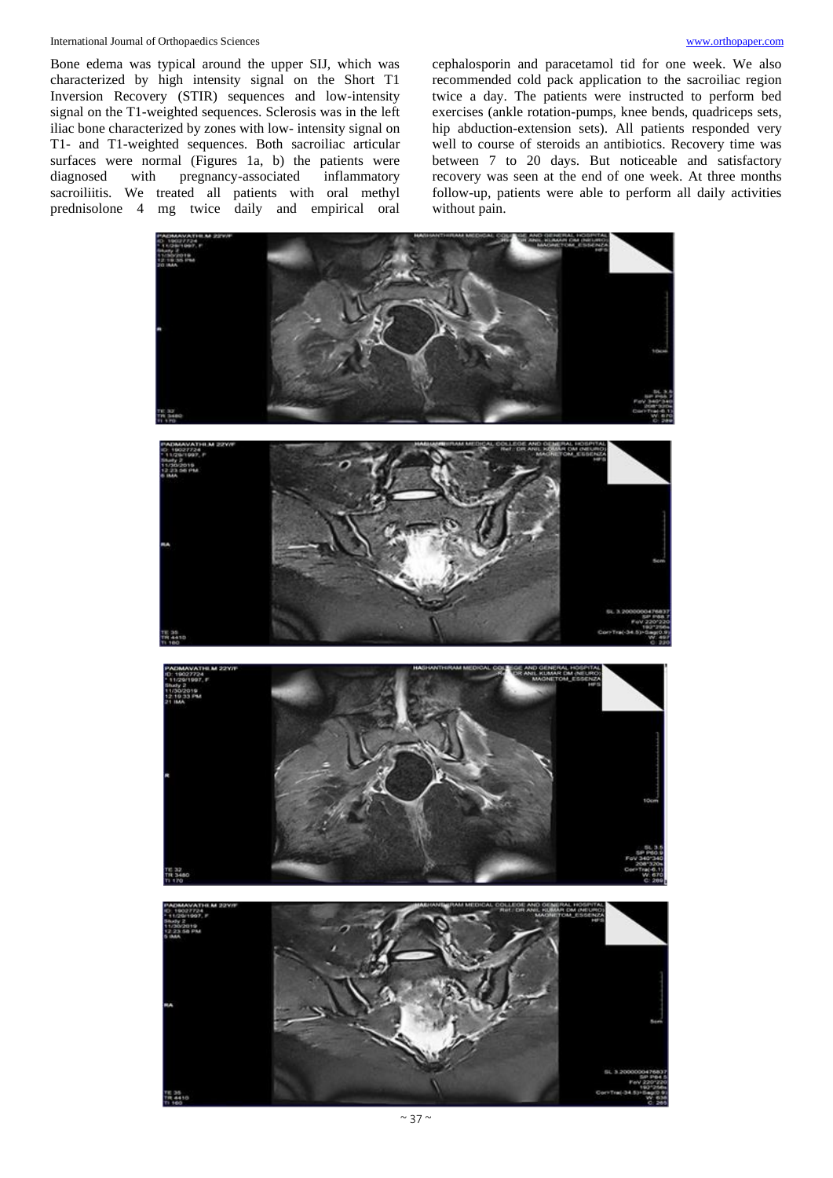#### International Journal of Orthopaedics Sciences [www.orthopaper.com](http://www.orthopaper.com/)

Bone edema was typical around the upper SIJ, which was characterized by high intensity signal on the Short T1 Inversion Recovery (STIR) sequences and low-intensity signal on the T1-weighted sequences. Sclerosis was in the left iliac bone characterized by zones with low- intensity signal on T1- and T1-weighted sequences. Both sacroiliac articular surfaces were normal (Figures 1a, b) the patients were diagnosed with pregnancy-associated inflammatory sacroiliitis. We treated all patients with oral methyl prednisolone 4 mg twice daily and empirical oral

cephalosporin and paracetamol tid for one week. We also recommended cold pack application to the sacroiliac region twice a day. The patients were instructed to perform bed exercises (ankle rotation-pumps, knee bends, quadriceps sets, hip abduction-extension sets). All patients responded very well to course of steroids an antibiotics. Recovery time was between 7 to 20 days. But noticeable and satisfactory recovery was seen at the end of one week. At three months follow-up, patients were able to perform all daily activities without pain.

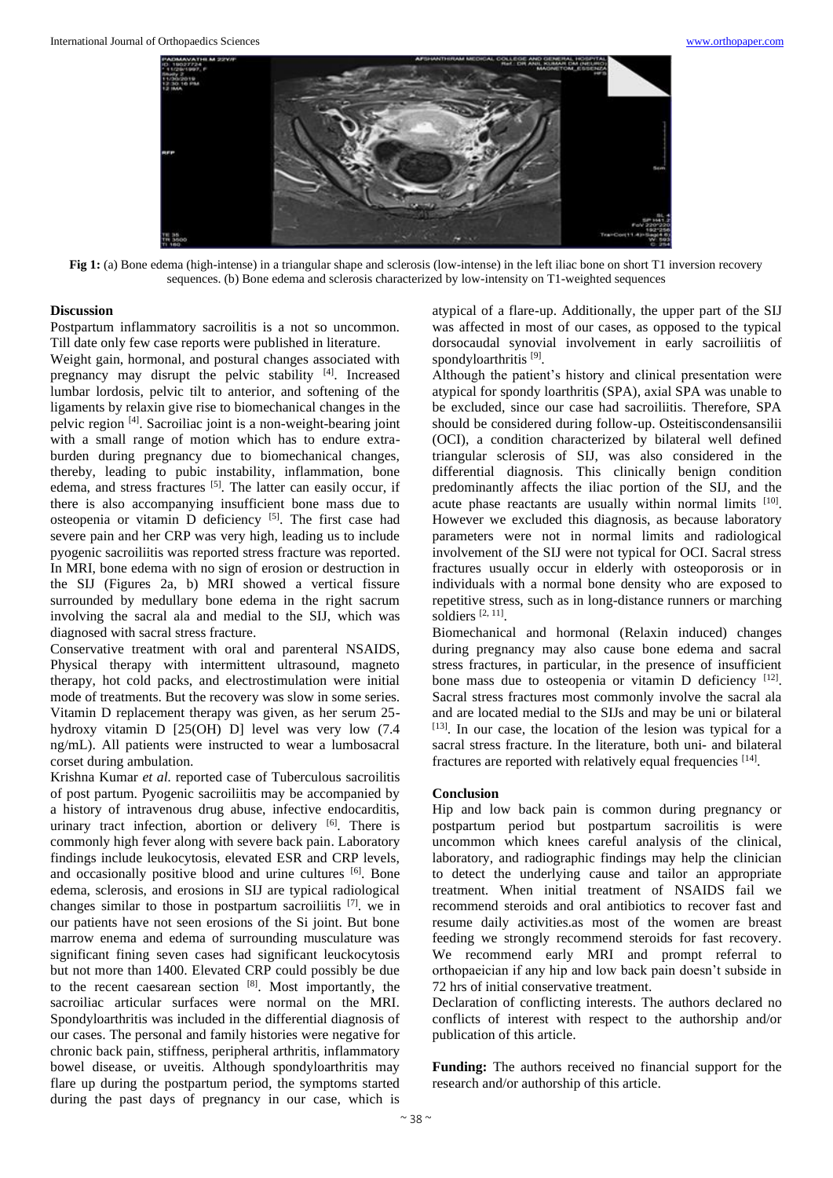

**Fig 1:** (a) Bone edema (high-intense) in a triangular shape and sclerosis (low-intense) in the left iliac bone on short T1 inversion recovery sequences. (b) Bone edema and sclerosis characterized by low-intensity on T1-weighted sequences

#### **Discussion**

Postpartum inflammatory sacroilitis is a not so uncommon. Till date only few case reports were published in literature.

Weight gain, hormonal, and postural changes associated with pregnancy may disrupt the pelvic stability [4]. Increased lumbar lordosis, pelvic tilt to anterior, and softening of the ligaments by relaxin give rise to biomechanical changes in the pelvic region [4] . Sacroiliac joint is a non-weight-bearing joint with a small range of motion which has to endure extraburden during pregnancy due to biomechanical changes, thereby, leading to pubic instability, inflammation, bone edema, and stress fractures [5]. The latter can easily occur, if there is also accompanying insufficient bone mass due to osteopenia or vitamin D deficiency [5]. The first case had severe pain and her CRP was very high, leading us to include pyogenic sacroiliitis was reported stress fracture was reported. In MRI, bone edema with no sign of erosion or destruction in the SIJ (Figures 2a, b) MRI showed a vertical fissure surrounded by medullary bone edema in the right sacrum involving the sacral ala and medial to the SIJ, which was diagnosed with sacral stress fracture.

Conservative treatment with oral and parenteral NSAIDS, Physical therapy with intermittent ultrasound, magneto therapy, hot cold packs, and electrostimulation were initial mode of treatments. But the recovery was slow in some series. Vitamin D replacement therapy was given, as her serum 25 hydroxy vitamin D [25(OH) D] level was very low (7.4 ng/mL). All patients were instructed to wear a lumbosacral corset during ambulation.

Krishna Kumar *et al.* reported case of Tuberculous sacroilitis of post partum. Pyogenic sacroiliitis may be accompanied by a history of intravenous drug abuse, infective endocarditis, urinary tract infection, abortion or delivery [6]. There is commonly high fever along with severe back pain. Laboratory findings include leukocytosis, elevated ESR and CRP levels, and occasionally positive blood and urine cultures [6]. Bone edema, sclerosis, and erosions in SIJ are typical radiological changes similar to those in postpartum sacroiliitis  $[7]$ . we in our patients have not seen erosions of the Si joint. But bone marrow enema and edema of surrounding musculature was significant fining seven cases had significant leuckocytosis but not more than 1400. Elevated CRP could possibly be due to the recent caesarean section [8] . Most importantly, the sacroiliac articular surfaces were normal on the MRI. Spondyloarthritis was included in the differential diagnosis of our cases. The personal and family histories were negative for chronic back pain, stiffness, peripheral arthritis, inflammatory bowel disease, or uveitis. Although spondyloarthritis may flare up during the postpartum period, the symptoms started during the past days of pregnancy in our case, which is

atypical of a flare-up. Additionally, the upper part of the SIJ was affected in most of our cases, as opposed to the typical dorsocaudal synovial involvement in early sacroiliitis of spondyloarthritis<sup>[9]</sup>.

Although the patient's history and clinical presentation were atypical for spondy loarthritis (SPA), axial SPA was unable to be excluded, since our case had sacroiliitis. Therefore, SPA should be considered during follow-up. Osteitiscondensansilii (OCI), a condition characterized by bilateral well defined triangular sclerosis of SIJ, was also considered in the differential diagnosis. This clinically benign condition predominantly affects the iliac portion of the SIJ, and the acute phase reactants are usually within normal limits [10]. However we excluded this diagnosis, as because laboratory parameters were not in normal limits and radiological involvement of the SIJ were not typical for OCI. Sacral stress fractures usually occur in elderly with osteoporosis or in individuals with a normal bone density who are exposed to repetitive stress, such as in long-distance runners or marching soldiers [2, 11] .

Biomechanical and hormonal (Relaxin induced) changes during pregnancy may also cause bone edema and sacral stress fractures, in particular, in the presence of insufficient bone mass due to osteopenia or vitamin D deficiency [12]. Sacral stress fractures most commonly involve the sacral ala and are located medial to the SIJs and may be uni or bilateral [13]. In our case, the location of the lesion was typical for a sacral stress fracture. In the literature, both uni- and bilateral fractures are reported with relatively equal frequencies [14].

# **Conclusion**

Hip and low back pain is common during pregnancy or postpartum period but postpartum sacroilitis is were uncommon which knees careful analysis of the clinical, laboratory, and radiographic findings may help the clinician to detect the underlying cause and tailor an appropriate treatment. When initial treatment of NSAIDS fail we recommend steroids and oral antibiotics to recover fast and resume daily activities.as most of the women are breast feeding we strongly recommend steroids for fast recovery. We recommend early MRI and prompt referral to orthopaeician if any hip and low back pain doesn't subside in 72 hrs of initial conservative treatment.

Declaration of conflicting interests. The authors declared no conflicts of interest with respect to the authorship and/or publication of this article.

**Funding:** The authors received no financial support for the research and/or authorship of this article.